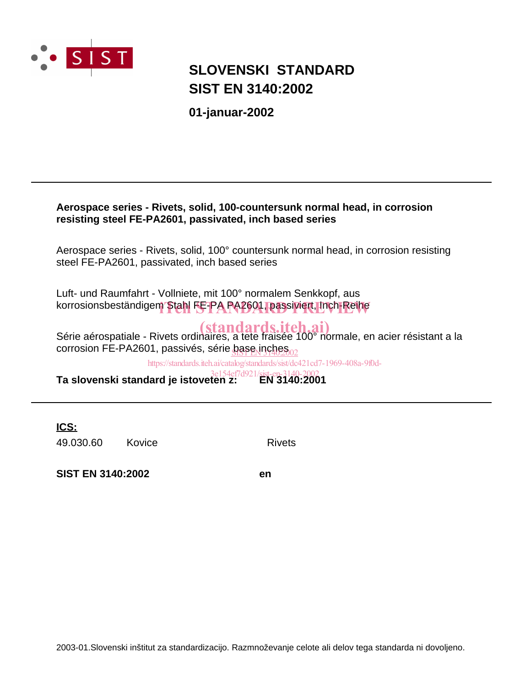

#### **SIST EN 3140:2002 SLOVENSKI STANDARD**

**01-januar-2002**

#### **Aerospace series - Rivets, solid, 100-countersunk normal head, in corrosion resisting steel FE-PA2601, passivated, inch based series**

Aerospace series - Rivets, solid, 100° countersunk normal head, in corrosion resisting steel FE-PA2601, passivated, inch based series

Luft- und Raumfahrt - Vollniete, mit 100° normalem Senkkopf, aus korrosionsbeständigem Stahl FE-PA PA2601, passiviert, Inch-Reihe

Série aérospatiale - Rivets ordinaires, a tete fraisée 100° normale, en acier résistant a la corrosion FE-PA2601, passivés, série <u>base inches<sub>002</sub></u>

https://standards.iteh.ai/catalog/standards/sist/dc421cd7-1969-408a-9f0d-

**Ta slovenski standard je istoveten z: EN 3140:2001** 3e154ef7d921/sist-en-3140-2002

**ICS:**

49.030.60 Kovice Rivets

**SIST EN 3140:2002 en**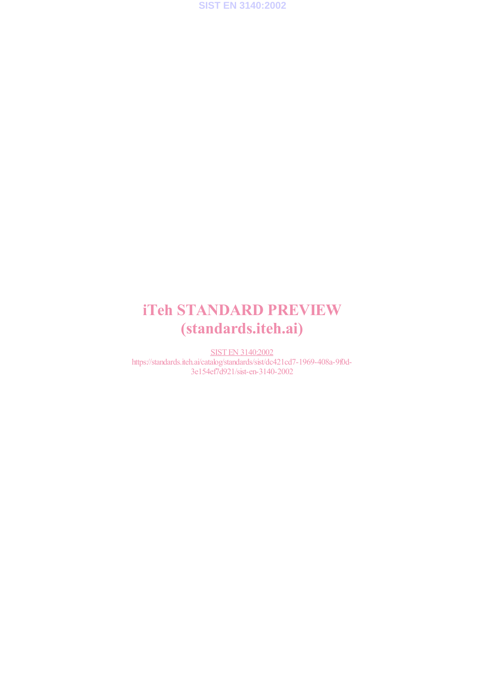

SIST EN 3140:2002 https://standards.iteh.ai/catalog/standards/sist/dc421cd7-1969-408a-9f0d-3e154ef7d921/sist-en-3140-2002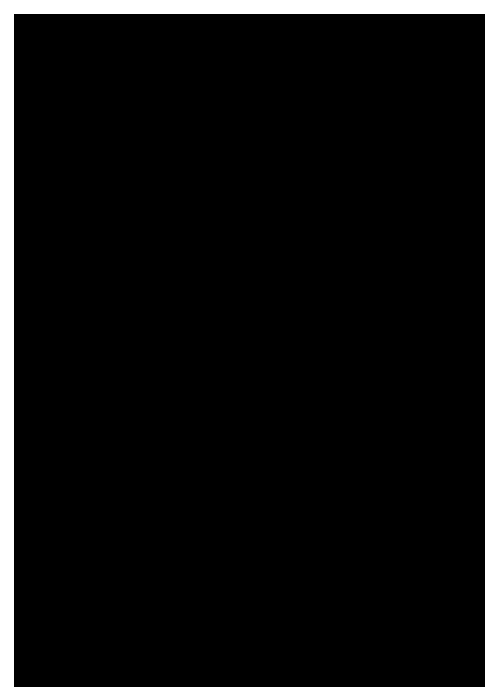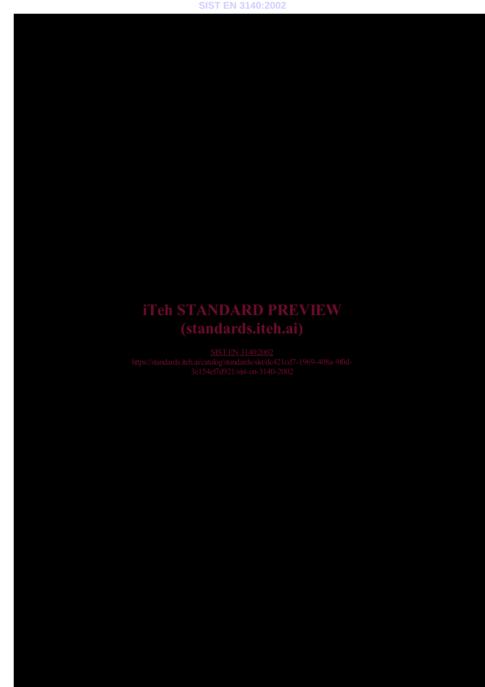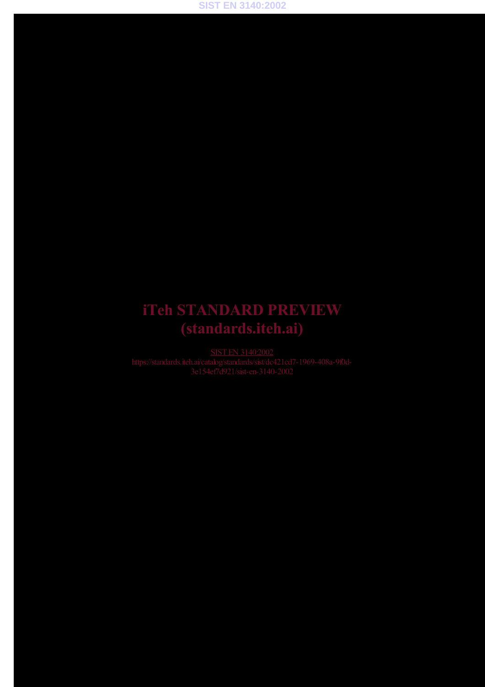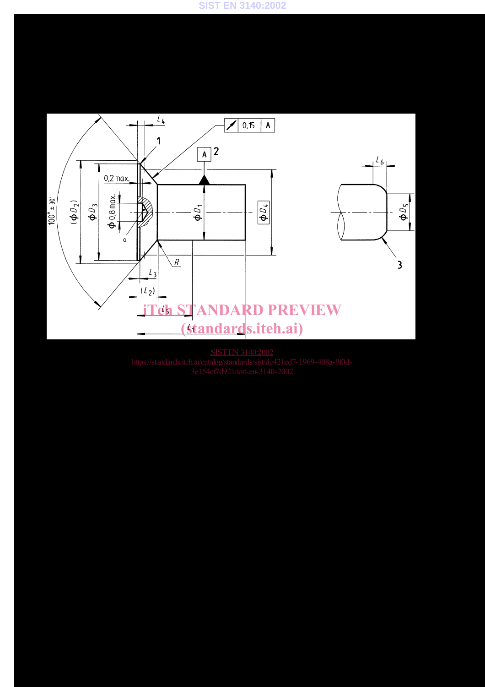

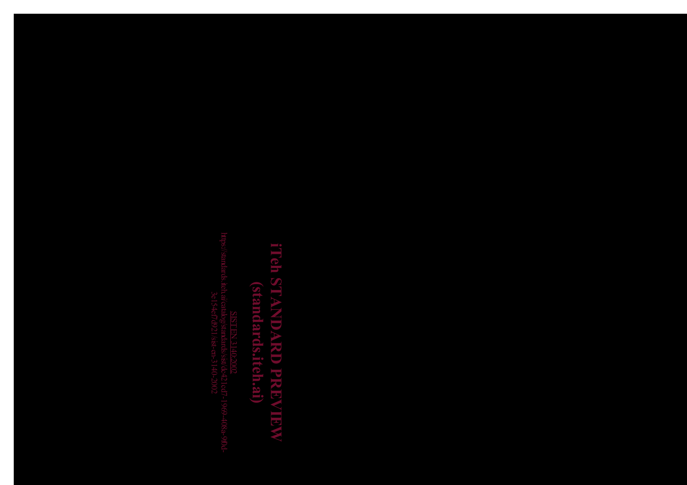#### $\overline{a}$   $\overline{b}$   $\overline{c}$   $\overline{d}$   $\overline{d}$   $\overline{d}$   $\overline{d}$   $\overline{d}$   $\overline{d}$   $\overline{d}$   $\overline{d}$   $\overline{d}$   $\overline{d}$   $\overline{d}$   $\overline{d}$   $\overline{d}$   $\overline{d}$   $\overline{d}$   $\overline{d}$   $\overline{d}$   $\overline{d}$   $\overline{d}$   $\overline{d}$   $\overline{d}$   $\overline{$  $\frac{1}{2}$   $\frac{1}{3}$   $\frac{1}{3}$   $\frac{1}{3}$   $\frac{1}{3}$   $\frac{1}{3}$   $\frac{1}{3}$   $\frac{1}{3}$   $\frac{1}{3}$   $\frac{1}{3}$   $\frac{1}{3}$   $\frac{1}{3}$   $\frac{1}{3}$   $\frac{1}{3}$   $\frac{1}{3}$   $\frac{1}{3}$   $\frac{1}{3}$   $\frac{1}{3}$   $\frac{1}{3}$   $\frac{1}{3}$   $\frac{1}{3}$   $\frac{1}{3}$   $\mathcal{L}$  3,799  $\mathcal{L}$  1,406  $\mathcal{L}$  3,131  $\mathcal{L}$  3,136  $\mathcal{L}$  3,286  $\mathcal{L}$  3,286  $\mathcal{L}$  3,366  $\mathcal{L}$  3,366  $\mathcal{L}$  3,366  $\mathcal{L}$  3,366  $\mathcal{L}$  3,366  $\mathcal{L}$  3,366  $\mathcal{L}$  3,366  $\mathcal{L}$  3,366  $\mathcal{L}$  3,  $\Box$  ,  $\Box$  ,  $\Box$  ,  $\Box$  ,  $\Box$  ,  $\Box$  ,  $\Box$  ,  $\Box$  ,  $\Box$  ,  $\Box$  ,  $\Box$  ,  $\Box$  ,  $\Box$  ,  $\Box$  ,  $\Box$  ,  $\Box$  ,  $\Box$  ,  $\Box$  ,  $\Box$  ,  $\Box$  ,  $\Box$  ,  $\Box$  ,  $\Box$  ,  $\Box$  ,  $\Box$  ,  $\Box$  ,  $\Box$  ,  $\Box$  ,  $\Box$  ,  $\Box$  ,  $\Box$  ,  $\Box$  \_\_ \_\_ X 1,666 X 1,850 X X 2,525 X X 3,870 X X 5,328 X X 7,039  $_{\odot}$   $_{\odot}$   $_{\odot}$   $_{\odot}$   $_{\odot}$   $_{\odot}$   $_{\odot}$   $_{\odot}$   $_{\odot}$   $_{\odot}$   $_{\odot}$   $_{\odot}$   $_{\odot}$   $_{\odot}$   $_{\odot}$   $_{\odot}$   $_{\odot}$   $_{\odot}$   $_{\odot}$   $_{\odot}$   $_{\odot}$   $_{\odot}$   $_{\odot}$   $_{\odot}$   $_{\odot}$   $_{\odot}$   $_{\odot}$   $_{\odot$  $\sim$  3,166  $\sim$  3,166  $\sim$  3,746  $\sim$  3,516  $\sim$  3,516  $\sim$  3,516  $\sim$  3,516  $\sim$  3,516  $\sim$  3,516  $\sim$  3,587  $\sim$  3,516  $\sim$  3,516  $\sim$  3,516  $\sim$  3,516  $\sim$  3,516  $\sim$  3,516  $\sim$  3,516  $\sim$  3,516  $\sim$  3,516  $\sim$  3,516  $\frac{1}{\sqrt{2}}$  ,  $\frac{1}{\sqrt{2}}$  ,  $\frac{1}{\sqrt{2}}$  ,  $\frac{1}{\sqrt{2}}$  ,  $\frac{1}{\sqrt{2}}$  ,  $\frac{1}{\sqrt{2}}$  ,  $\frac{1}{\sqrt{2}}$  ,  $\frac{1}{\sqrt{2}}$  ,  $\frac{1}{\sqrt{2}}$  ,  $\frac{1}{\sqrt{2}}$  ,  $\frac{1}{\sqrt{2}}$  ,  $\frac{1}{\sqrt{2}}$  ,  $\frac{1}{\sqrt{2}}$  ,  $\frac{1}{\sqrt{2}}$  ,  $\frac{1}{\sqrt{2}}$  \_\_ \_\_ \_\_ \_\_ \_\_ X 5,476 X 7,506 X 9,877 \_\_ \_\_ \_\_ \_\_ \_\_ X 6,206 X 8,496 X 11,167  $A_{\alpha}$  on the basis of  $7,9$  kg/dm3, given for information purposes only information purposes on  $A_{\alpha}$  e h $\sigma$  DRD**P**  REIEWuens)  $\overline{\phantom{0}}$  a r ds.iteh.ai)